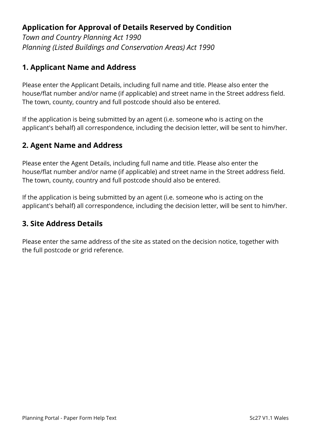# **Application for Approval of Details Reserved by Condition**

*Town and Country Planning Act 1990 Planning (Listed Buildings and Conservation Areas) Act 1990*

## **1. Applicant Name and Address**

Please enter the Applicant Details, including full name and title. Please also enter the house/flat number and/or name (if applicable) and street name in the Street address field. The town, county, country and full postcode should also be entered.

If the application is being submitted by an agent (i.e. someone who is acting on the applicant's behalf) all correspondence, including the decision letter, will be sent to him/her.

## **2. Agent Name and Address**

Please enter the Agent Details, including full name and title. Please also enter the house/flat number and/or name (if applicable) and street name in the Street address field. The town, county, country and full postcode should also be entered.

If the application is being submitted by an agent (i.e. someone who is acting on the applicant's behalf) all correspondence, including the decision letter, will be sent to him/her.

### **3. Site Address Details**

Please enter the same address of the site as stated on the decision notice, together with the full postcode or grid reference.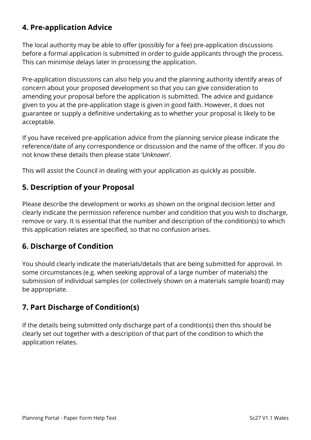## **4. Pre-application Advice**

The local authority may be able to offer (possibly for a fee) pre-application discussions before a formal application is submitted in order to guide applicants through the process. This can minimise delays later in processing the application.

Pre-application discussions can also help you and the planning authority identify areas of concern about your proposed development so that you can give consideration to amending your proposal before the application is submitted. The advice and guidance given to you at the pre-application stage is given in good faith. However, it does not guarantee or supply a definitive undertaking as to whether your proposal is likely to be acceptable.

If you have received pre-application advice from the planning service please indicate the reference/date of any correspondence or discussion and the name of the officer. If you do not know these details then please state '*Unknown*'.

This will assist the Council in dealing with your application as quickly as possible.

## **5. Description of your Proposal**

Please describe the development or works as shown on the original decision letter and clearly indicate the permission reference number and condition that you wish to discharge, remove or vary. It is essential that the number and description of the condition(s) to which this application relates are specified, so that no confusion arises.

### **6. Discharge of Condition**

You should clearly indicate the materials/details that are being submitted for approval. In some circumstances (e.g. when seeking approval of a large number of materials) the submission of individual samples (or collectively shown on a materials sample board) may be appropriate.

### **7. Part Discharge of Condition(s)**

If the details being submitted only discharge part of a condition(s) then this should be clearly set out together with a description of that part of the condition to which the application relates.